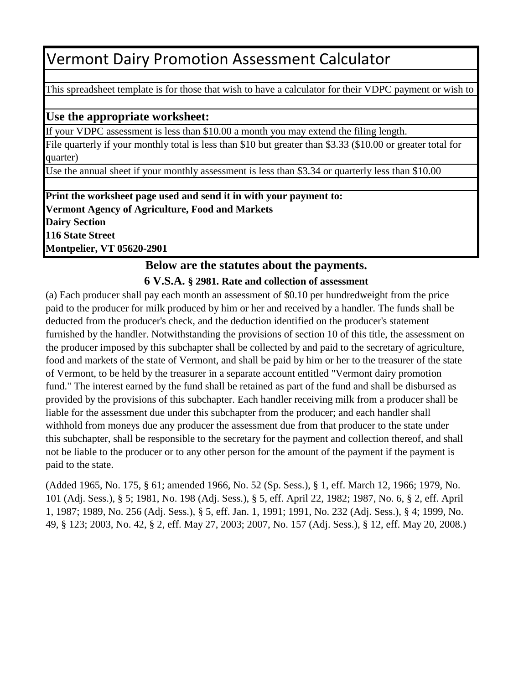### Vermont Dairy Promotion Assessment Calculator

This spreadsheet template is for those that wish to have a calculator for their VDPC payment or wish to

#### **Use the appropriate worksheet:**

If your VDPC assessment is less than \$10.00 a month you may extend the filing length.

File quarterly if your monthly total is less than \$10 but greater than \$3.33 (\$10.00 or greater total for quarter)

Use the annual sheet if your monthly assessment is less than \$3.34 or quarterly less than \$10.00

**Print the worksheet page used and send it in with your payment to: Vermont Agency of Agriculture, Food and Markets Dairy Section 116 State Street Montpelier, VT 05620-2901**

### **Below are the statutes about the payments.**

#### **6 V.S.A. § 2981. Rate and collection of assessment**

(a) Each producer shall pay each month an assessment of \$0.10 per hundredweight from the price paid to the producer for milk produced by him or her and received by a handler. The funds shall be deducted from the producer's check, and the deduction identified on the producer's statement furnished by the handler. Notwithstanding the provisions of section 10 of this title, the assessment on the producer imposed by this subchapter shall be collected by and paid to the secretary of agriculture, food and markets of the state of Vermont, and shall be paid by him or her to the treasurer of the state of Vermont, to be held by the treasurer in a separate account entitled "Vermont dairy promotion fund." The interest earned by the fund shall be retained as part of the fund and shall be disbursed as provided by the provisions of this subchapter. Each handler receiving milk from a producer shall be liable for the assessment due under this subchapter from the producer; and each handler shall withhold from moneys due any producer the assessment due from that producer to the state under this subchapter, shall be responsible to the secretary for the payment and collection thereof, and shall not be liable to the producer or to any other person for the amount of the payment if the payment is paid to the state.

(Added 1965, No. 175, § 61; amended 1966, No. 52 (Sp. Sess.), § 1, eff. March 12, 1966; 1979, No. 101 (Adj. Sess.), § 5; 1981, No. 198 (Adj. Sess.), § 5, eff. April 22, 1982; 1987, No. 6, § 2, eff. April 1, 1987; 1989, No. 256 (Adj. Sess.), § 5, eff. Jan. 1, 1991; 1991, No. 232 (Adj. Sess.), § 4; 1999, No. 49, § 123; 2003, No. 42, § 2, eff. May 27, 2003; 2007, No. 157 (Adj. Sess.), § 12, eff. May 20, 2008.)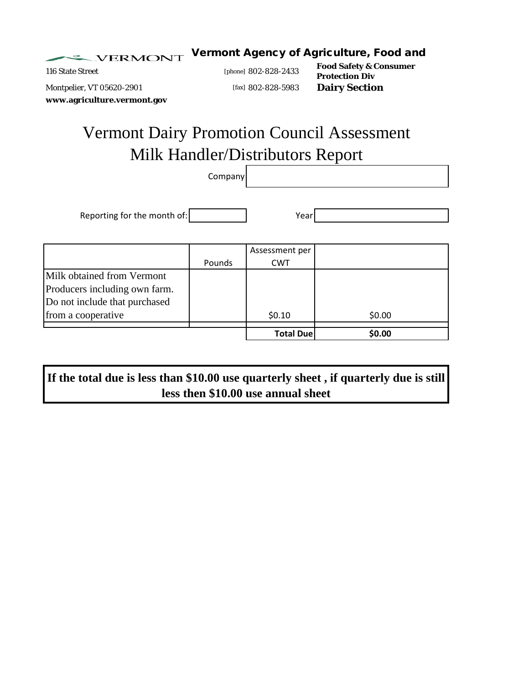Vermont Agency of Agriculture, Food and VERMONT

116 State Street **Food Safety & Consumer** [phone] *802-828-2433* **Food Safety & Consumer Protection Div** Montpelier, VT 05620-2901 [fax] 802-828-5983 **Dairy Section**

**www.agriculture.vermont.gov**

# Vermont Dairy Promotion Council Assessment Milk Handler/Distributors Report

Company

Reporting for the month of: Year

|                                                                                              | Pounds | Assessment per<br><b>CWT</b> |        |
|----------------------------------------------------------------------------------------------|--------|------------------------------|--------|
| Milk obtained from Vermont<br>Producers including own farm.<br>Do not include that purchased |        |                              |        |
| from a cooperative                                                                           |        | \$0.10                       | \$0.00 |
|                                                                                              |        | <b>Total Due</b>             | \$0.00 |

**If the total due is less than \$10.00 use quarterly sheet , if quarterly due is still less then \$10.00 use annual sheet**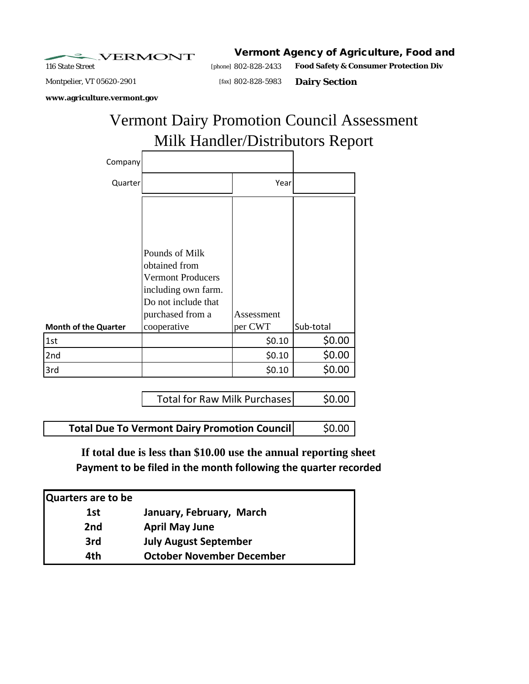**VERMONT** 

116 State Street [phone] *802-828-2433* Montpelier, VT 05620-2901 [fax] 802-828-5983 **Dairy Section** Vermont Agency of Agriculture, Food and **Food Safety & Consumer Protection Div**

**www.agriculture.vermont.gov**

## Milk Handler/Distributors Report Vermont Dairy Promotion Council Assessment

| Company                     |                                                                                                                                              |                       |           |
|-----------------------------|----------------------------------------------------------------------------------------------------------------------------------------------|-----------------------|-----------|
| Quarter                     |                                                                                                                                              | Year                  |           |
| <b>Month of the Quarter</b> | Pounds of Milk<br>obtained from<br><b>Vermont Producers</b><br>including own farm.<br>Do not include that<br>purchased from a<br>cooperative | Assessment<br>per CWT | Sub-total |
| 1st                         |                                                                                                                                              | \$0.10                | \$0.00    |
| 2nd                         |                                                                                                                                              | \$0.10                | \$0.00    |
| 3rd                         |                                                                                                                                              | \$0.10                | \$0.00    |

| Total for Raw Milk Purchases | \$0.00 |
|------------------------------|--------|

**Total Due To Vermont Dairy Promotion Council**  $\left| \right|$  **\$0.00** 

**If total due is less than \$10.00 use the annual reporting sheet Payment to be filed in the month following the quarter recorded**

| Quarters are to be |                                  |
|--------------------|----------------------------------|
| 1st                | January, February, March         |
| 2 <sub>nd</sub>    | <b>April May June</b>            |
| 3rd                | <b>July August September</b>     |
| 4th                | <b>October November December</b> |
|                    |                                  |